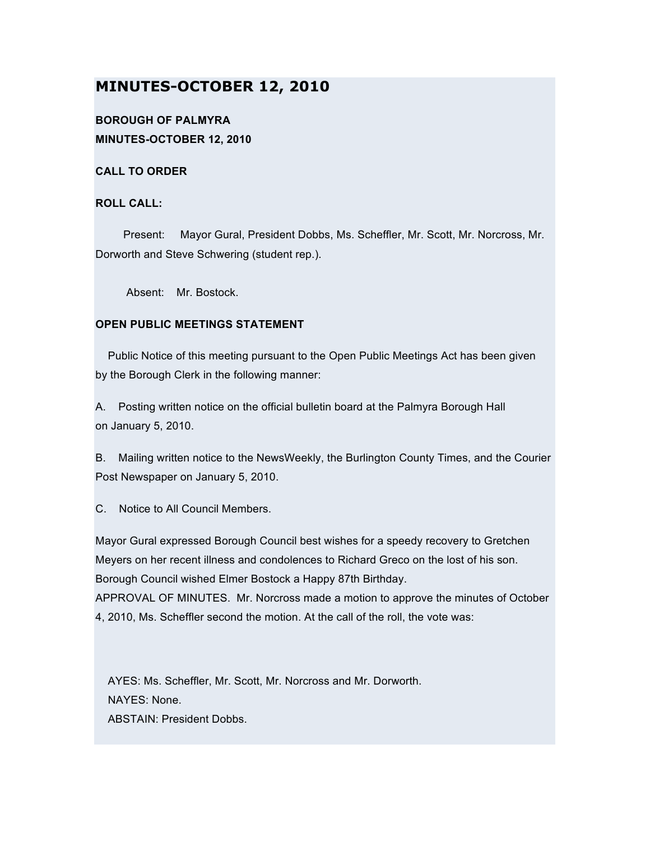# **MINUTES-OCTOBER 12, 2010**

# **BOROUGH OF PALMYRA MINUTES-OCTOBER 12, 2010**

**CALL TO ORDER**

## **ROLL CALL:**

Present: Mayor Gural, President Dobbs, Ms. Scheffler, Mr. Scott, Mr. Norcross, Mr. Dorworth and Steve Schwering (student rep.).

Absent: Mr. Bostock.

# **OPEN PUBLIC MEETINGS STATEMENT**

Public Notice of this meeting pursuant to the Open Public Meetings Act has been given by the Borough Clerk in the following manner:

A. Posting written notice on the official bulletin board at the Palmyra Borough Hall on January 5, 2010.

B. Mailing written notice to the NewsWeekly, the Burlington County Times, and the Courier Post Newspaper on January 5, 2010.

C. Notice to All Council Members.

Mayor Gural expressed Borough Council best wishes for a speedy recovery to Gretchen Meyers on her recent illness and condolences to Richard Greco on the lost of his son. Borough Council wished Elmer Bostock a Happy 87th Birthday. APPROVAL OF MINUTES. Mr. Norcross made a motion to approve the minutes of October 4, 2010, Ms. Scheffler second the motion. At the call of the roll, the vote was:

AYES: Ms. Scheffler, Mr. Scott, Mr. Norcross and Mr. Dorworth. NAYES: None. ABSTAIN: President Dobbs.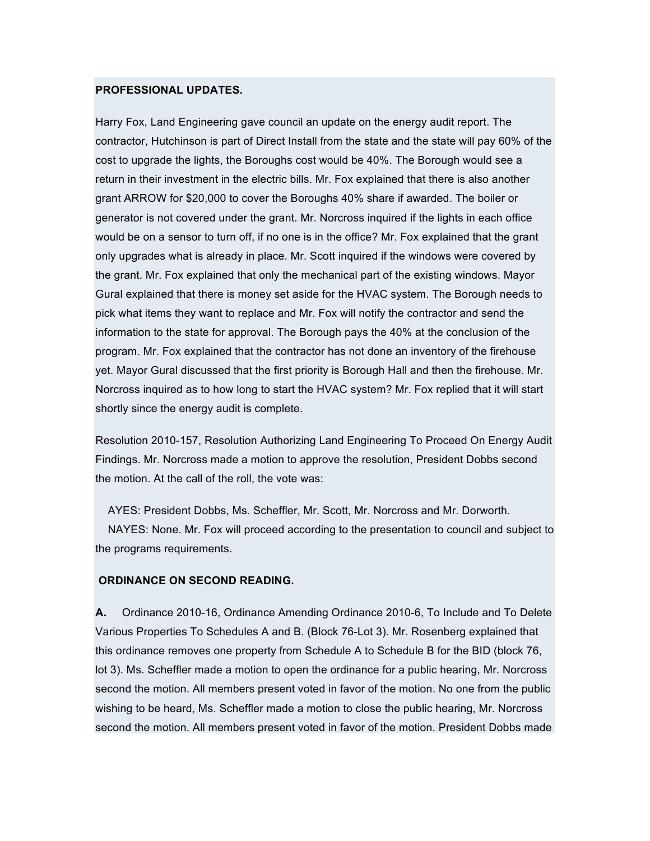#### **PROFESSIONAL UPDATES.**

Harry Fox, Land Engineering gave council an update on the energy audit report. The contractor, Hutchinson is part of Direct Install from the state and the state will pay 60% of the cost to upgrade the lights, the Boroughs cost would be 40%. The Borough would see a return in their investment in the electric bills. Mr. Fox explained that there is also another grant ARROW for \$20,000 to cover the Boroughs 40% share if awarded. The boiler or generator is not covered under the grant. Mr. Norcross inquired if the lights in each office would be on a sensor to turn off, if no one is in the office? Mr. Fox explained that the grant only upgrades what is already in place. Mr. Scott inquired if the windows were covered by the grant. Mr. Fox explained that only the mechanical part of the existing windows. Mayor Gural explained that there is money set aside for the HVAC system. The Borough needs to pick what items they want to replace and Mr. Fox will notify the contractor and send the information to the state for approval. The Borough pays the 40% at the conclusion of the program. Mr. Fox explained that the contractor has not done an inventory of the firehouse yet. Mayor Gural discussed that the first priority is Borough Hall and then the firehouse. Mr. Norcross inquired as to how long to start the HVAC system? Mr. Fox replied that it will start shortly since the energy audit is complete.

Resolution 2010-157, Resolution Authorizing Land Engineering To Proceed On Energy Audit Findings. Mr. Norcross made a motion to approve the resolution, President Dobbs second the motion. At the call of the roll, the vote was:

AYES: President Dobbs, Ms. Scheffler, Mr. Scott, Mr. Norcross and Mr. Dorworth. NAYES: None. Mr. Fox will proceed according to the presentation to council and subject to the programs requirements.

#### **ORDINANCE ON SECOND READING.**

**A.** Ordinance 2010-16, Ordinance Amending Ordinance 2010-6, To Include and To Delete Various Properties To Schedules A and B. (Block 76-Lot 3). Mr. Rosenberg explained that this ordinance removes one property from Schedule A to Schedule B for the BID (block 76, lot 3). Ms. Scheffler made a motion to open the ordinance for a public hearing, Mr. Norcross second the motion. All members present voted in favor of the motion. No one from the public wishing to be heard, Ms. Scheffler made a motion to close the public hearing, Mr. Norcross second the motion. All members present voted in favor of the motion. President Dobbs made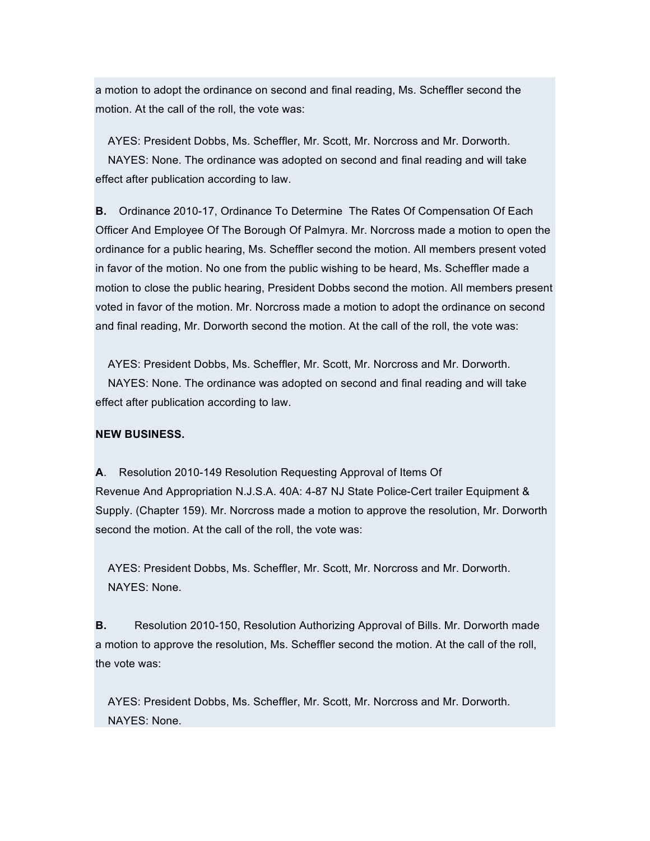a motion to adopt the ordinance on second and final reading, Ms. Scheffler second the motion. At the call of the roll, the vote was:

AYES: President Dobbs, Ms. Scheffler, Mr. Scott, Mr. Norcross and Mr. Dorworth. NAYES: None. The ordinance was adopted on second and final reading and will take effect after publication according to law.

**B.** Ordinance 2010-17, Ordinance To Determine The Rates Of Compensation Of Each Officer And Employee Of The Borough Of Palmyra. Mr. Norcross made a motion to open the ordinance for a public hearing, Ms. Scheffler second the motion. All members present voted in favor of the motion. No one from the public wishing to be heard, Ms. Scheffler made a motion to close the public hearing, President Dobbs second the motion. All members present voted in favor of the motion. Mr. Norcross made a motion to adopt the ordinance on second and final reading, Mr. Dorworth second the motion. At the call of the roll, the vote was:

AYES: President Dobbs, Ms. Scheffler, Mr. Scott, Mr. Norcross and Mr. Dorworth. NAYES: None. The ordinance was adopted on second and final reading and will take effect after publication according to law.

#### **NEW BUSINESS.**

**A**. Resolution 2010-149 Resolution Requesting Approval of Items Of Revenue And Appropriation N.J.S.A. 40A: 4-87 NJ State Police-Cert trailer Equipment & Supply. (Chapter 159). Mr. Norcross made a motion to approve the resolution, Mr. Dorworth second the motion. At the call of the roll, the vote was:

AYES: President Dobbs, Ms. Scheffler, Mr. Scott, Mr. Norcross and Mr. Dorworth. NAYES: None.

**B.** Resolution 2010-150, Resolution Authorizing Approval of Bills. Mr. Dorworth made a motion to approve the resolution, Ms. Scheffler second the motion. At the call of the roll, the vote was:

AYES: President Dobbs, Ms. Scheffler, Mr. Scott, Mr. Norcross and Mr. Dorworth. NAYES: None.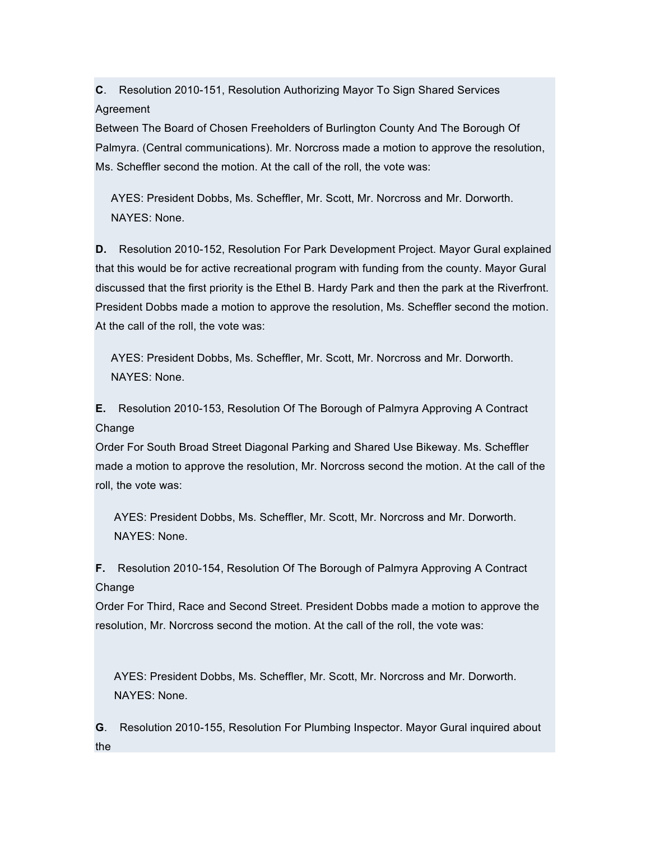**C**. Resolution 2010-151, Resolution Authorizing Mayor To Sign Shared Services Agreement

Between The Board of Chosen Freeholders of Burlington County And The Borough Of Palmyra. (Central communications). Mr. Norcross made a motion to approve the resolution, Ms. Scheffler second the motion. At the call of the roll, the vote was:

AYES: President Dobbs, Ms. Scheffler, Mr. Scott, Mr. Norcross and Mr. Dorworth. NAYES: None.

**D.** Resolution 2010-152, Resolution For Park Development Project. Mayor Gural explained that this would be for active recreational program with funding from the county. Mayor Gural discussed that the first priority is the Ethel B. Hardy Park and then the park at the Riverfront. President Dobbs made a motion to approve the resolution, Ms. Scheffler second the motion. At the call of the roll, the vote was:

AYES: President Dobbs, Ms. Scheffler, Mr. Scott, Mr. Norcross and Mr. Dorworth. NAYES: None.

**E.** Resolution 2010-153, Resolution Of The Borough of Palmyra Approving A Contract Change

Order For South Broad Street Diagonal Parking and Shared Use Bikeway. Ms. Scheffler made a motion to approve the resolution, Mr. Norcross second the motion. At the call of the roll, the vote was:

AYES: President Dobbs, Ms. Scheffler, Mr. Scott, Mr. Norcross and Mr. Dorworth. NAYES: None.

**F.** Resolution 2010-154, Resolution Of The Borough of Palmyra Approving A Contract Change

Order For Third, Race and Second Street. President Dobbs made a motion to approve the resolution, Mr. Norcross second the motion. At the call of the roll, the vote was:

AYES: President Dobbs, Ms. Scheffler, Mr. Scott, Mr. Norcross and Mr. Dorworth. NAYES: None.

**G**. Resolution 2010-155, Resolution For Plumbing Inspector. Mayor Gural inquired about the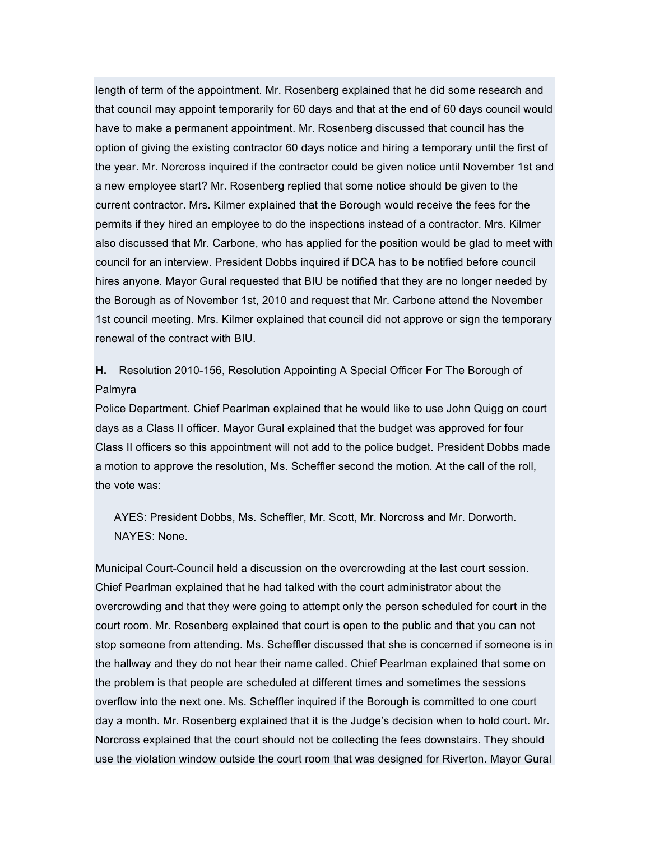length of term of the appointment. Mr. Rosenberg explained that he did some research and that council may appoint temporarily for 60 days and that at the end of 60 days council would have to make a permanent appointment. Mr. Rosenberg discussed that council has the option of giving the existing contractor 60 days notice and hiring a temporary until the first of the year. Mr. Norcross inquired if the contractor could be given notice until November 1st and a new employee start? Mr. Rosenberg replied that some notice should be given to the current contractor. Mrs. Kilmer explained that the Borough would receive the fees for the permits if they hired an employee to do the inspections instead of a contractor. Mrs. Kilmer also discussed that Mr. Carbone, who has applied for the position would be glad to meet with council for an interview. President Dobbs inquired if DCA has to be notified before council hires anyone. Mayor Gural requested that BIU be notified that they are no longer needed by the Borough as of November 1st, 2010 and request that Mr. Carbone attend the November 1st council meeting. Mrs. Kilmer explained that council did not approve or sign the temporary renewal of the contract with BIU.

# **H.** Resolution 2010-156, Resolution Appointing A Special Officer For The Borough of Palmyra

Police Department. Chief Pearlman explained that he would like to use John Quigg on court days as a Class II officer. Mayor Gural explained that the budget was approved for four Class II officers so this appointment will not add to the police budget. President Dobbs made a motion to approve the resolution, Ms. Scheffler second the motion. At the call of the roll, the vote was:

AYES: President Dobbs, Ms. Scheffler, Mr. Scott, Mr. Norcross and Mr. Dorworth. NAYES: None.

Municipal Court-Council held a discussion on the overcrowding at the last court session. Chief Pearlman explained that he had talked with the court administrator about the overcrowding and that they were going to attempt only the person scheduled for court in the court room. Mr. Rosenberg explained that court is open to the public and that you can not stop someone from attending. Ms. Scheffler discussed that she is concerned if someone is in the hallway and they do not hear their name called. Chief Pearlman explained that some on the problem is that people are scheduled at different times and sometimes the sessions overflow into the next one. Ms. Scheffler inquired if the Borough is committed to one court day a month. Mr. Rosenberg explained that it is the Judge's decision when to hold court. Mr. Norcross explained that the court should not be collecting the fees downstairs. They should use the violation window outside the court room that was designed for Riverton. Mayor Gural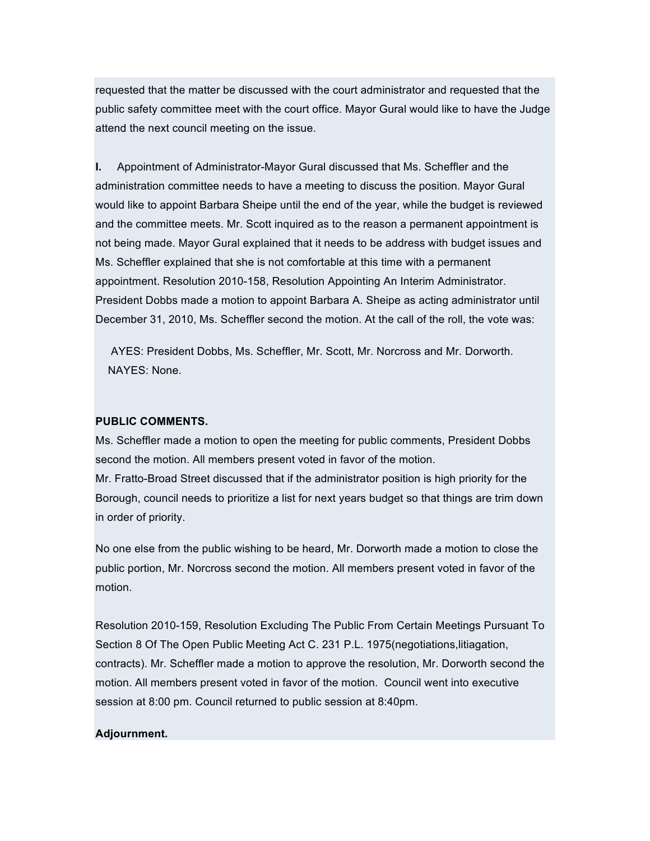requested that the matter be discussed with the court administrator and requested that the public safety committee meet with the court office. Mayor Gural would like to have the Judge attend the next council meeting on the issue.

**I.** Appointment of Administrator-Mayor Gural discussed that Ms. Scheffler and the administration committee needs to have a meeting to discuss the position. Mayor Gural would like to appoint Barbara Sheipe until the end of the year, while the budget is reviewed and the committee meets. Mr. Scott inquired as to the reason a permanent appointment is not being made. Mayor Gural explained that it needs to be address with budget issues and Ms. Scheffler explained that she is not comfortable at this time with a permanent appointment. Resolution 2010-158, Resolution Appointing An Interim Administrator. President Dobbs made a motion to appoint Barbara A. Sheipe as acting administrator until December 31, 2010, Ms. Scheffler second the motion. At the call of the roll, the vote was:

AYES: President Dobbs, Ms. Scheffler, Mr. Scott, Mr. Norcross and Mr. Dorworth. NAYES: None.

### **PUBLIC COMMENTS.**

Ms. Scheffler made a motion to open the meeting for public comments, President Dobbs second the motion. All members present voted in favor of the motion. Mr. Fratto-Broad Street discussed that if the administrator position is high priority for the Borough, council needs to prioritize a list for next years budget so that things are trim down in order of priority.

No one else from the public wishing to be heard, Mr. Dorworth made a motion to close the public portion, Mr. Norcross second the motion. All members present voted in favor of the motion.

Resolution 2010-159, Resolution Excluding The Public From Certain Meetings Pursuant To Section 8 Of The Open Public Meeting Act C. 231 P.L. 1975(negotiations,litiagation, contracts). Mr. Scheffler made a motion to approve the resolution, Mr. Dorworth second the motion. All members present voted in favor of the motion. Council went into executive session at 8:00 pm. Council returned to public session at 8:40pm.

### **Adjournment.**